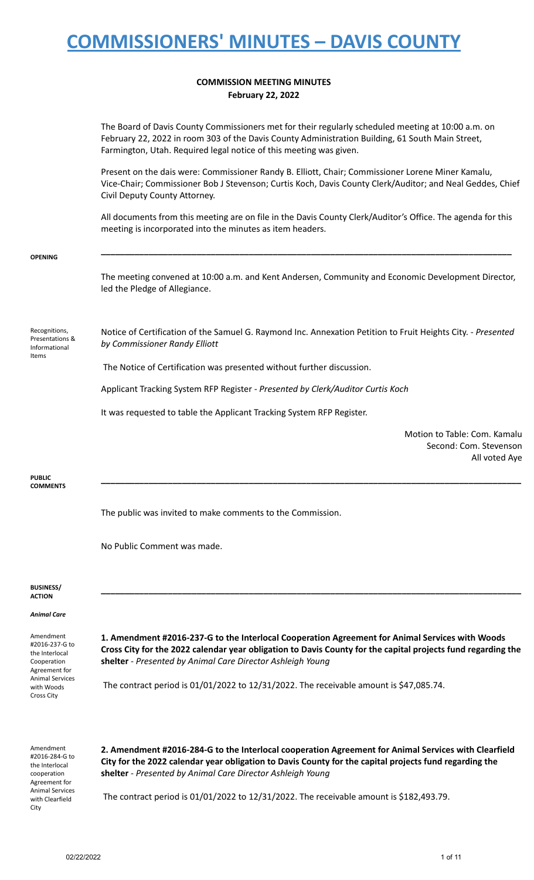### **COMMISSION MEETING MINUTES February 22, 2022**

| Amendment<br>#2016-284-G to<br>the Interlocal                                 | 2. Amendment #2016-284-G to the Interlocal cooperation Agreement for Animal Services with Clearfield<br>City for the 2022 calendar year obligation to Davis County for the capital projects fund regarding the                                                                |
|-------------------------------------------------------------------------------|-------------------------------------------------------------------------------------------------------------------------------------------------------------------------------------------------------------------------------------------------------------------------------|
| <b>Animal Services</b><br>with Woods<br>Cross City                            | The contract period is 01/01/2022 to 12/31/2022. The receivable amount is \$47,085.74.                                                                                                                                                                                        |
| Amendment<br>#2016-237-G to<br>the Interlocal<br>Cooperation<br>Agreement for | 1. Amendment #2016-237-G to the Interlocal Cooperation Agreement for Animal Services with Woods<br>Cross City for the 2022 calendar year obligation to Davis County for the capital projects fund regarding the<br>shelter - Presented by Animal Care Director Ashleigh Young |
| <b>Animal Care</b>                                                            |                                                                                                                                                                                                                                                                               |
| <b>BUSINESS/</b><br>ACTION                                                    |                                                                                                                                                                                                                                                                               |
|                                                                               | No Public Comment was made.                                                                                                                                                                                                                                                   |
| COMMENTS                                                                      | The public was invited to make comments to the Commission.                                                                                                                                                                                                                    |
| <b>PUBLIC</b>                                                                 | Second: Com. Stevenson<br>All voted Aye                                                                                                                                                                                                                                       |
|                                                                               | It was requested to table the Applicant Tracking System RFP Register.<br>Motion to Table: Com. Kamalu                                                                                                                                                                         |
|                                                                               | Applicant Tracking System RFP Register - Presented by Clerk/Auditor Curtis Koch                                                                                                                                                                                               |
|                                                                               | The Notice of Certification was presented without further discussion.                                                                                                                                                                                                         |
| Recognitions,<br>Presentations &<br>Informational<br>Items                    | Notice of Certification of the Samuel G. Raymond Inc. Annexation Petition to Fruit Heights City. - Presented<br>by Commissioner Randy Elliott                                                                                                                                 |
| <b>OPENING</b>                                                                | The meeting convened at 10:00 a.m. and Kent Andersen, Community and Economic Development Director,<br>led the Pledge of Allegiance.                                                                                                                                           |
|                                                                               | All documents from this meeting are on file in the Davis County Clerk/Auditor's Office. The agenda for this<br>meeting is incorporated into the minutes as item headers.                                                                                                      |
|                                                                               | Present on the dais were: Commissioner Randy B. Elliott, Chair; Commissioner Lorene Miner Kamalu,<br>Vice-Chair; Commissioner Bob J Stevenson; Curtis Koch, Davis County Clerk/Auditor; and Neal Geddes, Chief<br>Civil Deputy County Attorney.                               |
|                                                                               | The Board of Davis County Commissioners met for their regularly scheduled meeting at 10:00 a.m. on<br>February 22, 2022 in room 303 of the Davis County Administration Building, 61 South Main Street,<br>Farmington, Utah. Required legal notice of this meeting was given.  |

The contract period is 01/01/2022 to 12/31/2022. The receivable amount is \$182,493.79.

**shelter** - *Presented by Animal Care Director Ashleigh Young*

cooperation Agreement for Animal Services with Clearfield

City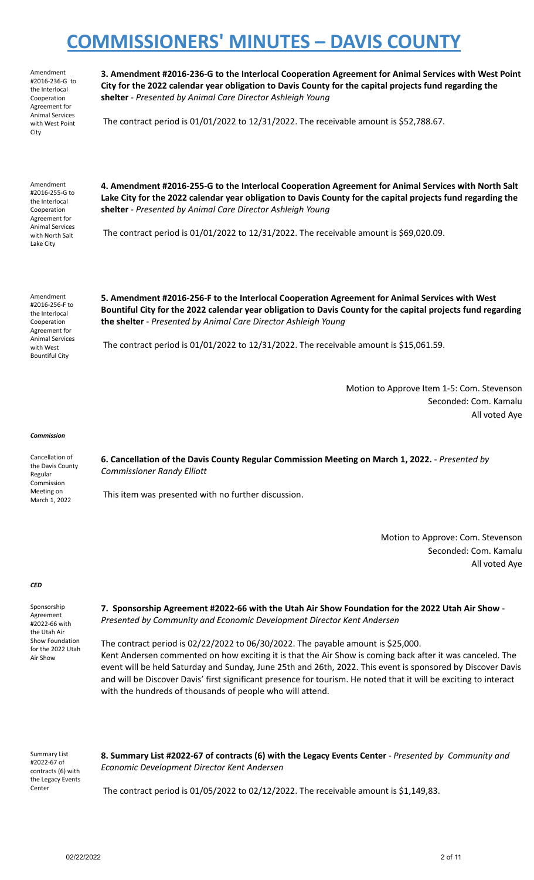Amendment #2016-236-G to the Interlocal Cooperation Agreement for Animal Services with West Point City

**3. Amendment #2016-236-G to the Interlocal Cooperation Agreement for Animal Services with West Point City for the 2022 calendar year obligation to Davis County for the capital projects fund regarding the shelter** - *Presented by Animal Care Director Ashleigh Young*

The contract period is 01/01/2022 to 12/31/2022. The receivable amount is \$52,788.67.

Amendment #2016-255-G to the Interlocal Cooperation Agreement for Animal Services with North Salt Lake City

**4. Amendment #2016-255-G to the Interlocal Cooperation Agreement for Animal Services with North Salt** Lake City for the 2022 calendar year obligation to Davis County for the capital projects fund regarding the **shelter** - *Presented by Animal Care Director Ashleigh Young*

The contract period is 01/01/2022 to 12/31/2022. The receivable amount is \$69,020.09.

Amendment #2016-256-F to the Interlocal Cooperation Agreement for Animal Services with West Bountiful City

**5. Amendment #2016-256-F to the Interlocal Cooperation Agreement for Animal Services with West** Bountiful City for the 2022 calendar year obligation to Davis County for the capital projects fund regarding **the shelter** - *Presented by Animal Care Director Ashleigh Young*

The contract period is 01/01/2022 to 12/31/2022. The receivable amount is \$15,061.59.

Motion to Approve Item 1-5: Com. Stevenson Seconded: Com. Kamalu All voted Aye

### *Commission*

Cancellation of the Davis County Regular Commission Meeting on March 1, 2022

**6. Cancellation of the Davis County Regular Commission Meeting on March 1, 2022.** - *Presented by Commissioner Randy Elliott*

This item was presented with no further discussion.

Motion to Approve: Com. Stevenson Seconded: Com. Kamalu All voted Aye

#### *CED*

Sponsorship Agreement #2022-66 with the Utah Air Show Foundation for the 2022 Utah Air Show

**7. Sponsorship Agreement #2022-66 with the Utah Air Show Foundation for the 2022 Utah Air Show** - *Presented by Community and Economic Development Director Kent Andersen*

The contract period is 02/22/2022 to 06/30/2022. The payable amount is \$25,000. Kent Andersen commented on how exciting it is that the Air Show is coming back after it was canceled. The event will be held Saturday and Sunday, June 25th and 26th, 2022. This event is sponsored by Discover Davis and will be Discover Davis' first significant presence for tourism. He noted that it will be exciting to interact with the hundreds of thousands of people who will attend.

Summary List #2022-67 of contracts (6) with the Legacy Events Center

**8. Summary List #2022-67 of contracts (6) with the Legacy Events Center** - *Presented by Community and Economic Development Director Kent Andersen*

The contract period is 01/05/2022 to 02/12/2022. The receivable amount is \$1,149,83.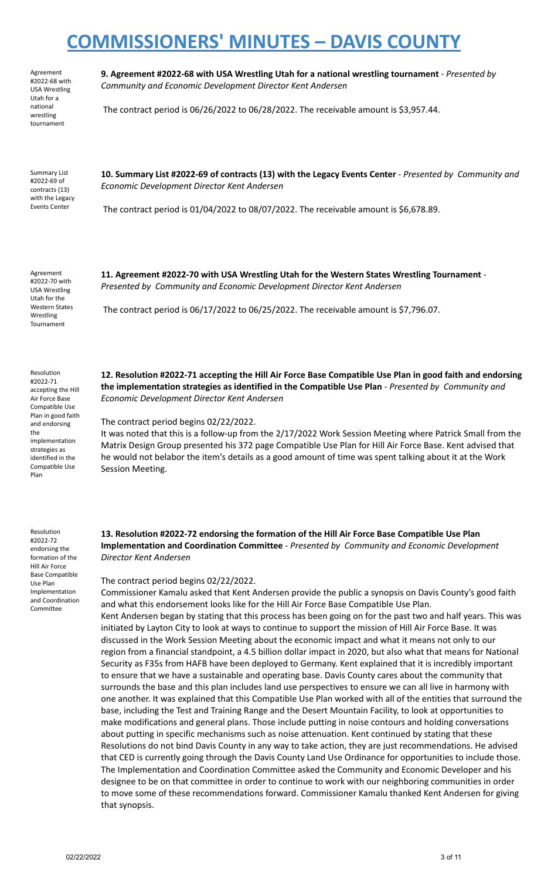Agreement #2022-68 with USA Wrestling Utah for a national wrestling tournament

**9. Agreement #2022-68 with USA Wrestling Utah for a national wrestling tournament** - *Presented by Community and Economic Development Director Kent Andersen*

The contract period is 06/26/2022 to 06/28/2022. The receivable amount is \$3,957.44.

Summary List #2022-69 of contracts (13) with the Legacy Events Center

**10. Summary List #2022-69 of contracts (13) with the Legacy Events Center** - *Presented by Community and Economic Development Director Kent Andersen*

The contract period is 01/04/2022 to 08/07/2022. The receivable amount is \$6,678.89.

Agreement #2022-70 with USA Wrestling Utah for the Western States Wrestling Tournament

Resolution #2022-71 accepting the Hill Air Force Base Compatible Use Plan in good faith and endorsing the implementation strategies as identified in the Compatible Use Plan

*Presented by Community and Economic Development Director Kent Andersen* The contract period is 06/17/2022 to 06/25/2022. The receivable amount is \$7,796.07.

**11. Agreement #2022-70 with USA Wrestling Utah for the Western States Wrestling Tournament** -

**12. Resolution #2022-71 accepting the Hill Air Force Base Compatible Use Plan in good faith and endorsing the implementation strategies as identified in the Compatible Use Plan** - *Presented by Community and Economic Development Director Kent Andersen*

The contract period begins 02/22/2022.

It was noted that this is a follow-up from the 2/17/2022 Work Session Meeting where Patrick Small from the Matrix Design Group presented his 372 page Compatible Use Plan for Hill Air Force Base. Kent advised that he would not belabor the item's details as a good amount of time was spent talking about it at the Work Session Meeting.

Resolution #2022-72 endorsing the formation of the Hill Air Force Base Compatible Use Plan Implementation and Coordination Committee

**13. Resolution #2022-72 endorsing the formation of the Hill Air Force Base Compatible Use Plan Implementation and Coordination Committee** - *Presented by Community and Economic Development Director Kent Andersen*

The contract period begins 02/22/2022.

Commissioner Kamalu asked that Kent Andersen provide the public a synopsis on Davis County's good faith and what this endorsement looks like for the Hill Air Force Base Compatible Use Plan. Kent Andersen began by stating that this process has been going on for the past two and half years. This was initiated by Layton City to look at ways to continue to support the mission of Hill Air Force Base. It was discussed in the Work Session Meeting about the economic impact and what it means not only to our region from a financial standpoint, a 4.5 billion dollar impact in 2020, but also what that means for National Security as F35s from HAFB have been deployed to Germany. Kent explained that it is incredibly important to ensure that we have a sustainable and operating base. Davis County cares about the community that surrounds the base and this plan includes land use perspectives to ensure we can all live in harmony with one another. It was explained that this Compatible Use Plan worked with all of the entities that surround the base, including the Test and Training Range and the Desert Mountain Facility, to look at opportunities to make modifications and general plans. Those include putting in noise contours and holding conversations about putting in specific mechanisms such as noise attenuation. Kent continued by stating that these Resolutions do not bind Davis County in any way to take action, they are just recommendations. He advised that CED is currently going through the Davis County Land Use Ordinance for opportunities to include those. The Implementation and Coordination Committee asked the Community and Economic Developer and his designee to be on that committee in order to continue to work with our neighboring communities in order to move some of these recommendations forward. Commissioner Kamalu thanked Kent Andersen for giving that synopsis.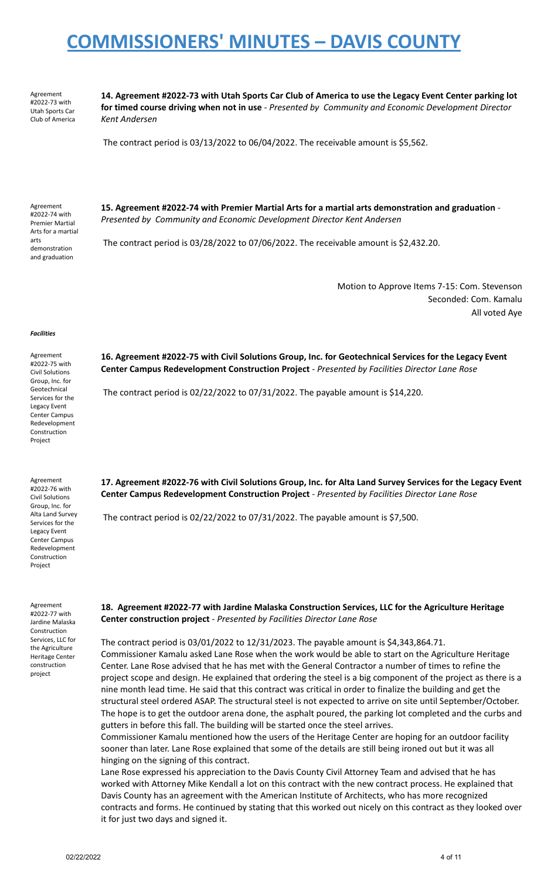Agreement #2022-73 with Utah Sports Car Club of America

14. Agreement #2022-73 with Utah Sports Car Club of America to use the Legacy Event Center parking lot **for timed course driving when not in use** - *Presented by Community and Economic Development Director Kent Andersen*

The contract period is 03/13/2022 to 06/04/2022. The receivable amount is \$5,562.

Agreement #2022-74 with Premier Martial Arts for a martial arts demonstration and graduation

**15. Agreement #2022-74 with Premier Martial Arts for a martial arts demonstration and graduation** - *Presented by Community and Economic Development Director Kent Andersen*

The contract period is 03/28/2022 to 07/06/2022. The receivable amount is \$2,432.20.

Motion to Approve Items 7-15: Com. Stevenson Seconded: Com. Kamalu All voted Aye

### *Facilities*

Agreement #2022-75 with Civil Solutions Group, Inc. for Geotechnical Services for the Legacy Event Center Campus Redevelopment Construction Project

Agreement #2022-76 with Civil Solutions Group, Inc. for Alta Land Survey Services for the Legacy Event Center Campus Redevelopment Construction Project

Agreement #2022-77 with Jardine Malaska Construction Services, LLC for the Agriculture Heritage Center construction project

**16. Agreement #2022-75 with Civil Solutions Group, Inc. for Geotechnical Services for the Legacy Event Center Campus Redevelopment Construction Project** - *Presented by Facilities Director Lane Rose*

The contract period is 02/22/2022 to 07/31/2022. The payable amount is \$14,220.

17. Agreement #2022-76 with Civil Solutions Group, Inc. for Alta Land Survey Services for the Legacy Event **Center Campus Redevelopment Construction Project** - *Presented by Facilities Director Lane Rose*

The contract period is 02/22/2022 to 07/31/2022. The payable amount is \$7,500.

**18. Agreement #2022-77 with Jardine Malaska Construction Services, LLC for the Agriculture Heritage Center construction project** - *Presented by Facilities Director Lane Rose*

The contract period is 03/01/2022 to 12/31/2023. The payable amount is \$4,343,864.71. Commissioner Kamalu asked Lane Rose when the work would be able to start on the Agriculture Heritage Center. Lane Rose advised that he has met with the General Contractor a number of times to refine the project scope and design. He explained that ordering the steel is a big component of the project as there is a nine month lead time. He said that this contract was critical in order to finalize the building and get the structural steel ordered ASAP. The structural steel is not expected to arrive on site until September/October. The hope is to get the outdoor arena done, the asphalt poured, the parking lot completed and the curbs and gutters in before this fall. The building will be started once the steel arrives.

Commissioner Kamalu mentioned how the users of the Heritage Center are hoping for an outdoor facility sooner than later. Lane Rose explained that some of the details are still being ironed out but it was all hinging on the signing of this contract.

Lane Rose expressed his appreciation to the Davis County Civil Attorney Team and advised that he has worked with Attorney Mike Kendall a lot on this contract with the new contract process. He explained that Davis County has an agreement with the American Institute of Architects, who has more recognized contracts and forms. He continued by stating that this worked out nicely on this contract as they looked over it for just two days and signed it.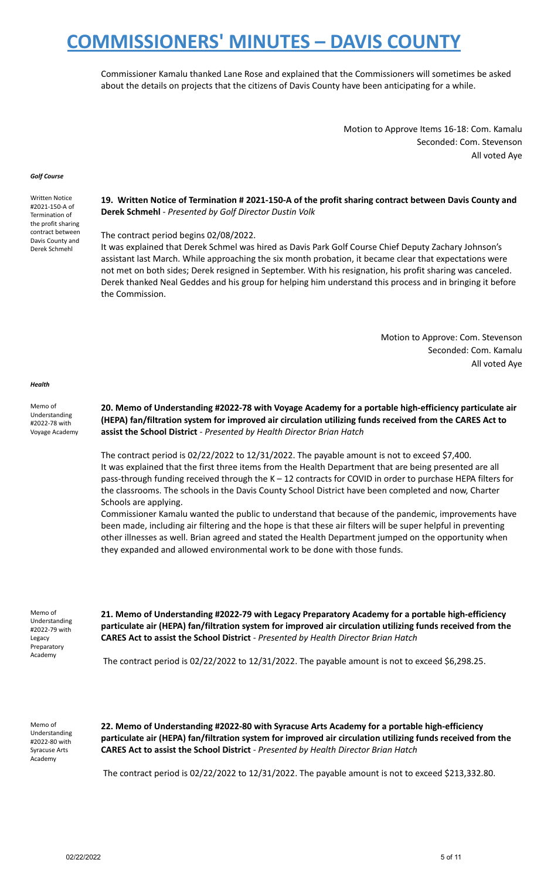Commissioner Kamalu thanked Lane Rose and explained that the Commissioners will sometimes be asked about the details on projects that the citizens of Davis County have been anticipating for a while.

> Motion to Approve Items 16-18: Com. Kamalu Seconded: Com. Stevenson All voted Aye

#### *Golf Course*

Written Notice #2021-150-A of Termination of the profit sharing contract between Davis County and Derek Schmehl

**19. Written Notice of Termination # 2021-150-A of the profit sharing contract between Davis County and Derek Schmehl** - *Presented by Golf Director Dustin Volk*

The contract period begins 02/08/2022.

It was explained that Derek Schmel was hired as Davis Park Golf Course Chief Deputy Zachary Johnson's assistant last March. While approaching the six month probation, it became clear that expectations were not met on both sides; Derek resigned in September. With his resignation, his profit sharing was canceled. Derek thanked Neal Geddes and his group for helping him understand this process and in bringing it before the Commission.

> Motion to Approve: Com. Stevenson Seconded: Com. Kamalu All voted Aye

### *Health*

Memo of Understanding #2022-78 with Voyage Academy

**20. Memo of Understanding #2022-78 with Voyage Academy for a portable high-efficiency particulate air (HEPA) fan/filtration system for improved air circulation utilizing funds received from the CARES Act to assist the School District** - *Presented by Health Director Brian Hatch*

The contract period is 02/22/2022 to 12/31/2022. The payable amount is not to exceed \$7,400. It was explained that the first three items from the Health Department that are being presented are all pass-through funding received through the K – 12 contracts for COVID in order to purchase HEPA filters for the classrooms. The schools in the Davis County School District have been completed and now, Charter Schools are applying.

Commissioner Kamalu wanted the public to understand that because of the pandemic, improvements have been made, including air filtering and the hope is that these air filters will be super helpful in preventing other illnesses as well. Brian agreed and stated the Health Department jumped on the opportunity when they expanded and allowed environmental work to be done with those funds.

Memo of Understanding #2022-79 with Legacy Preparatory Academy

**21. Memo of Understanding #2022-79 with Legacy Preparatory Academy for a portable high-efficiency particulate air (HEPA) fan/filtration system for improved air circulation utilizing funds received from the CARES Act to assist the School District** - *Presented by Health Director Brian Hatch*

The contract period is 02/22/2022 to 12/31/2022. The payable amount is not to exceed \$6,298.25.

Memo of Understanding #2022-80 with Syracuse Arts Academy

**22. Memo of Understanding #2022-80 with Syracuse Arts Academy for a portable high-efficiency particulate air (HEPA) fan/filtration system for improved air circulation utilizing funds received from the CARES Act to assist the School District** - *Presented by Health Director Brian Hatch*

The contract period is 02/22/2022 to 12/31/2022. The payable amount is not to exceed \$213,332.80.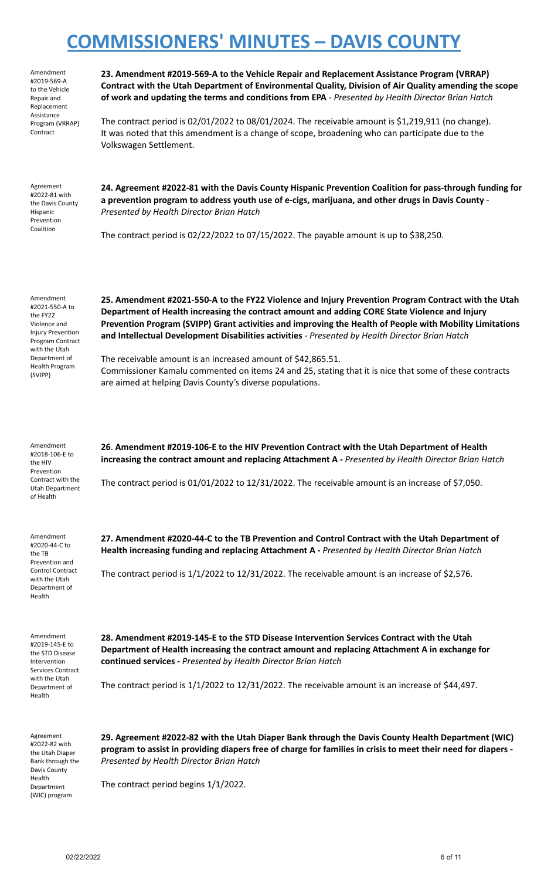| Amendment       |
|-----------------|
| #2019-569-A     |
| to the Vehicle  |
| Repair and      |
| Replacement     |
| Assistance      |
| Program (VRRAP) |
| Contract        |

**23. Amendment #2019-569-A to the Vehicle Repair and Replacement Assistance Program (VRRAP) Contract with the Utah Department of Environmental Quality, Division of Air Quality amending the scope of work and updating the terms and conditions from EPA** - *Presented by Health Director Brian Hatch*

The contract period is 02/01/2022 to 08/01/2024. The receivable amount is \$1,219,911 (no change). It was noted that this amendment is a change of scope, broadening who can participate due to the Volkswagen Settlement.

Agreement #2022-81 with the Davis County Hispanic Prevention Coalition

**24. Agreement #2022-81 with the Davis County Hispanic Prevention Coalition for pass-through funding for a prevention program to address youth use of e-cigs, marijuana, and other drugs in Davis County** - *Presented by Health Director Brian Hatch*

The contract period is  $02/22/2022$  to  $07/15/2022$ . The payable amount is up to \$38,250.

Amendment #2021-550-A to the FY22 Violence and **Injury Prevention** Program Contract with the Utah Department of Health Program (SVIPP)

**25. Amendment #2021-550-A to the FY22 Violence and Injury Prevention Program Contract with the Utah Department of Health increasing the contract amount and adding CORE State Violence and Injury Prevention Program (SVIPP) Grant activities and improving the Health of People with Mobility Limitations and Intellectual Development Disabilities activities** - *Presented by Health Director Brian Hatch*

The receivable amount is an increased amount of \$42,865.51. Commissioner Kamalu commented on items 24 and 25, stating that it is nice that some of these contracts are aimed at helping Davis County's diverse populations.

| Amendment<br>#2018-106-E to<br>the HIV<br>Prevention                                  | 26. Amendment #2019-106-E to the HIV Prevention Contract with the Utah Department of Health<br>increasing the contract amount and replacing Attachment A - Presented by Health Director Brian Hatch |
|---------------------------------------------------------------------------------------|-----------------------------------------------------------------------------------------------------------------------------------------------------------------------------------------------------|
| Contract with the<br>Utah Department<br>of Health                                     | The contract period is $01/01/2022$ to $12/31/2022$ . The receivable amount is an increase of \$7,050.                                                                                              |
| Amendment<br>#2020-44-C to<br>the TB                                                  | 27. Amendment #2020-44-C to the TB Prevention and Control Contract with the Utah Department of<br>Health increasing funding and replacing Attachment A - Presented by Health Director Brian Hatch   |
| Prevention and<br><b>Control Contract</b><br>with the Utah<br>Department of<br>Health | The contract period is $1/1/2022$ to $12/31/2022$ . The receivable amount is an increase of \$2,576.                                                                                                |

Agreement #2022-82 with the Utah Diaper Bank through the Davis County Health Department (WIC) program

**28. Amendment #2019-145-E to the STD Disease Intervention Services Contract with the Utah Department of Health increasing the contract amount and replacing Attachment A in exchange for continued services -** *Presented by Health Director Brian Hatch*

The contract period is 1/1/2022 to 12/31/2022. The receivable amount is an increase of \$44,497.

**29. Agreement #2022-82 with the Utah Diaper Bank through the Davis County Health Department (WIC)** program to assist in providing diapers free of charge for families in crisis to meet their need for diapers -*Presented by Health Director Brian Hatch*

The contract period begins 1/1/2022.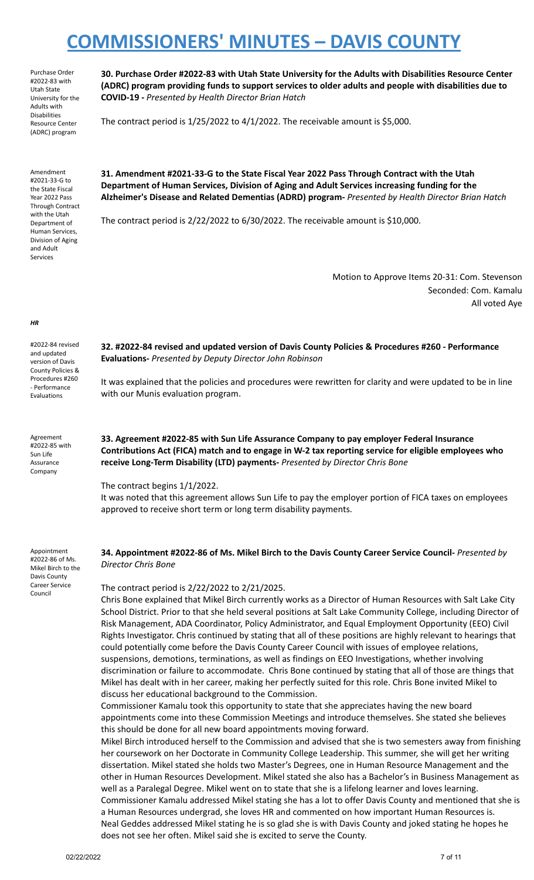Purchase Order #2022-83 with Utah State University for the Adults with Disabilities Resource Center (ADRC) program

Amendment #2021-33-G to the State Fiscal Year 2022 Pass Through Contract with the Utah Department of Human Services, Division of Aging and Adult Services

**30. Purchase Order #2022-83 with Utah State University for the Adults with Disabilities Resource Center (ADRC) program providing funds to support services to older adults and people with disabilities due to COVID-19 -** *Presented by Health Director Brian Hatch*

The contract period is 1/25/2022 to 4/1/2022. The receivable amount is \$5,000.

**31. Amendment #2021-33-G to the State Fiscal Year 2022 Pass Through Contract with the Utah Department of Human Services, Division of Aging and Adult Services increasing funding for the Alzheimer's Disease and Related Dementias (ADRD) program-** *Presented by Health Director Brian Hatch*

The contract period is 2/22/2022 to 6/30/2022. The receivable amount is \$10,000.

Motion to Approve Items 20-31: Com. Stevenson Seconded: Com. Kamalu All voted Aye

#2022-84 revised and updated version of Davis County Policies & Procedures #260 - Performance

Evaluations

*HR*

Agreement #2022-85 with Sun Life Assurance Company

**32. #2022-84 revised and updated version of Davis County Policies & Procedures #260 - Performance Evaluations-** *Presented by Deputy Director John Robinson*

It was explained that the policies and procedures were rewritten for clarity and were updated to be in line with our Munis evaluation program.

**33. Agreement #2022-85 with Sun Life Assurance Company to pay employer Federal Insurance Contributions Act (FICA) match and to engage in W-2 tax reporting service for eligible employees who receive Long-Term Disability (LTD) payments-** *Presented by Director Chris Bone*

The contract begins 1/1/2022.

It was noted that this agreement allows Sun Life to pay the employer portion of FICA taxes on employees approved to receive short term or long term disability payments.

Appointment #2022-86 of Ms. Mikel Birch to the Davis County Career Service Council

**34. Appointment #2022-86 of Ms. Mikel Birch to the Davis County Career Service Council-** *Presented by Director Chris Bone*

The contract period is 2/22/2022 to 2/21/2025.

Chris Bone explained that Mikel Birch currently works as a Director of Human Resources with Salt Lake City School District. Prior to that she held several positions at Salt Lake Community College, including Director of Risk Management, ADA Coordinator, Policy Administrator, and Equal Employment Opportunity (EEO) Civil Rights Investigator. Chris continued by stating that all of these positions are highly relevant to hearings that could potentially come before the Davis County Career Council with issues of employee relations, suspensions, demotions, terminations, as well as findings on EEO Investigations, whether involving discrimination or failure to accommodate. Chris Bone continued by stating that all of those are things that Mikel has dealt with in her career, making her perfectly suited for this role. Chris Bone invited Mikel to discuss her educational background to the Commission.

Commissioner Kamalu took this opportunity to state that she appreciates having the new board appointments come into these Commission Meetings and introduce themselves. She stated she believes this should be done for all new board appointments moving forward.

Mikel Birch introduced herself to the Commission and advised that she is two semesters away from finishing her coursework on her Doctorate in Community College Leadership. This summer, she will get her writing dissertation. Mikel stated she holds two Master's Degrees, one in Human Resource Management and the other in Human Resources Development. Mikel stated she also has a Bachelor's in Business Management as well as a Paralegal Degree. Mikel went on to state that she is a lifelong learner and loves learning. Commissioner Kamalu addressed Mikel stating she has a lot to offer Davis County and mentioned that she is a Human Resources undergrad, she loves HR and commented on how important Human Resources is. Neal Geddes addressed Mikel stating he is so glad she is with Davis County and joked stating he hopes he does not see her often. Mikel said she is excited to serve the County.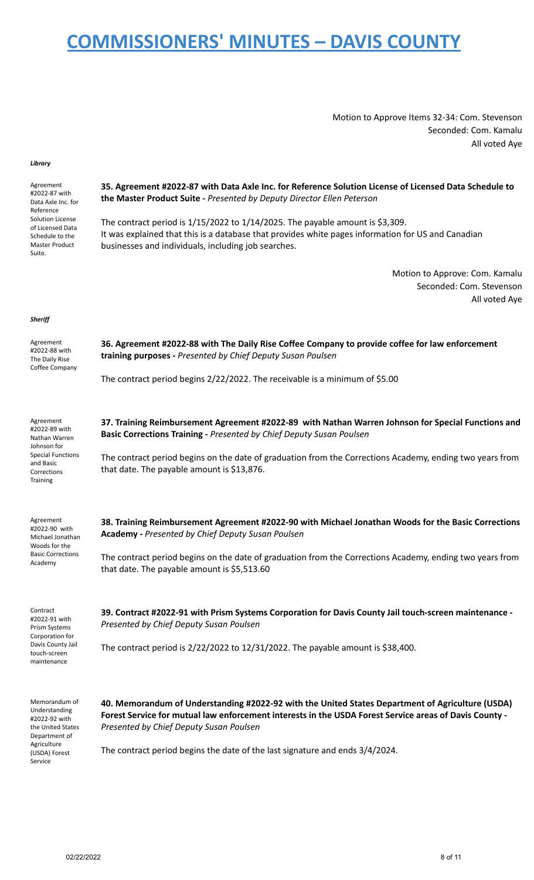Motion to Approve Items 32-34: Com. Stevenson Seconded: Com. Kamalu All voted Aye

### *Library*

| Agreement<br>#2022-87 with<br>Data Axle Inc. for<br>Reference                              | 35. Agreement #2022-87 with Data Axle Inc. for Reference Solution License of Licensed Data Schedule to<br>the Master Product Suite - Presented by Deputy Director Ellen Peterson                                                                |  |
|--------------------------------------------------------------------------------------------|-------------------------------------------------------------------------------------------------------------------------------------------------------------------------------------------------------------------------------------------------|--|
| Solution License<br>of Licensed Data<br>Schedule to the<br><b>Master Product</b><br>Suite. | The contract period is $1/15/2022$ to $1/14/2025$ . The payable amount is \$3,309.<br>It was explained that this is a database that provides white pages information for US and Canadian<br>businesses and individuals, including job searches. |  |
|                                                                                            | Motion to Approve: Com. Kamalu<br>Seconded: Com. Stevenson<br>All voted Aye                                                                                                                                                                     |  |
| Sheriff                                                                                    |                                                                                                                                                                                                                                                 |  |
| Agreement<br>#2022-88 with<br>The Daily Rise                                               | 36. Agreement #2022-88 with The Daily Rise Coffee Company to provide coffee for law enforcement<br>training purposes - Presented by Chief Deputy Susan Poulsen                                                                                  |  |
| Coffee Company                                                                             | The contract period begins 2/22/2022. The receivable is a minimum of \$5.00                                                                                                                                                                     |  |
| Agreement                                                                                  | 37. Training Reimbursement Agreement #2022-89 with Nathan Warren Johnson for Special Functions and                                                                                                                                              |  |
| #2022-89 with<br>Nathan Warren<br>Johnson for                                              | Basic Corrections Training - Presented by Chief Deputy Susan Poulsen                                                                                                                                                                            |  |
| <b>Special Functions</b><br>and Basic<br>Corrections<br>Training                           | The contract period begins on the date of graduation from the Corrections Academy, ending two years from<br>that date. The payable amount is \$13,876.                                                                                          |  |
| Agreement<br>#2022-90 with<br>Michael Jonathan<br>Woods for the                            | 38. Training Reimbursement Agreement #2022-90 with Michael Jonathan Woods for the Basic Corrections<br><b>Academy - Presented by Chief Deputy Susan Poulsen</b>                                                                                 |  |
| <b>Basic Corrections</b><br>Academy                                                        | The contract period begins on the date of graduation from the Corrections Academy, ending two years from<br>that date. The payable amount is \$5,513.60                                                                                         |  |
| Contract<br>#2022-91 with<br>Prism Systems                                                 | 39. Contract #2022-91 with Prism Systems Corporation for Davis County Jail touch-screen maintenance -<br>Presented by Chief Deputy Susan Poulsen                                                                                                |  |
| Corporation for<br>Davis County Jail<br>touch-screen<br>maintenance                        | The contract period is $2/22/2022$ to $12/31/2022$ . The payable amount is \$38,400.                                                                                                                                                            |  |
| Memorandum of                                                                              | 40. Memorandum of Understanding #2022-92 with the United States Department of Agriculture (USDA)                                                                                                                                                |  |
| Understanding<br>#2022-92 with<br>the United States<br>Department of                       | Forest Service for mutual law enforcement interests in the USDA Forest Service areas of Davis County -<br>Presented by Chief Deputy Susan Poulsen                                                                                               |  |
| Agriculture<br>(USDA) Forest<br>Service                                                    | The contract period begins the date of the last signature and ends 3/4/2024.                                                                                                                                                                    |  |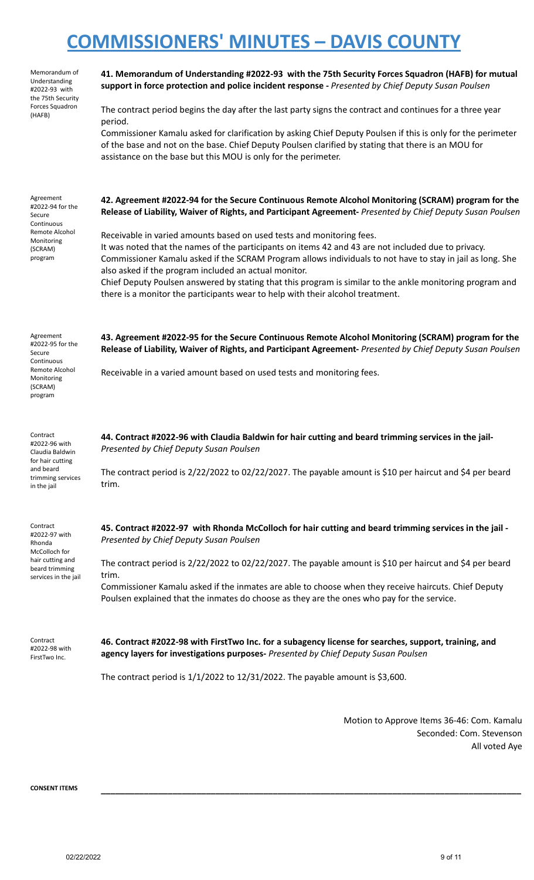| Memorandum of<br>Understanding<br>#2022-93 with<br>the 75th Security<br>Forces Squadron<br>(HAFB)                  | 41. Memorandum of Understanding #2022-93 with the 75th Security Forces Squadron (HAFB) for mutual<br>support in force protection and police incident response - Presented by Chief Deputy Susan Poulsen<br>The contract period begins the day after the last party signs the contract and continues for a three year<br>period.<br>Commissioner Kamalu asked for clarification by asking Chief Deputy Poulsen if this is only for the perimeter<br>of the base and not on the base. Chief Deputy Poulsen clarified by stating that there is an MOU for<br>assistance on the base but this MOU is only for the perimeter.                                                                                                                                              |
|--------------------------------------------------------------------------------------------------------------------|-----------------------------------------------------------------------------------------------------------------------------------------------------------------------------------------------------------------------------------------------------------------------------------------------------------------------------------------------------------------------------------------------------------------------------------------------------------------------------------------------------------------------------------------------------------------------------------------------------------------------------------------------------------------------------------------------------------------------------------------------------------------------|
| Agreement<br>#2022-94 for the<br>Secure<br>Continuous<br>Remote Alcohol<br>Monitoring<br>(SCRAM)<br>program        | 42. Agreement #2022-94 for the Secure Continuous Remote Alcohol Monitoring (SCRAM) program for the<br>Release of Liability, Waiver of Rights, and Participant Agreement-Presented by Chief Deputy Susan Poulsen<br>Receivable in varied amounts based on used tests and monitoring fees.<br>It was noted that the names of the participants on items 42 and 43 are not included due to privacy.<br>Commissioner Kamalu asked if the SCRAM Program allows individuals to not have to stay in jail as long. She<br>also asked if the program included an actual monitor.<br>Chief Deputy Poulsen answered by stating that this program is similar to the ankle monitoring program and<br>there is a monitor the participants wear to help with their alcohol treatment. |
| Agreement<br>#2022-95 for the<br>Secure<br>Continuous<br>Remote Alcohol<br>Monitoring<br>(SCRAM)<br>program        | 43. Agreement #2022-95 for the Secure Continuous Remote Alcohol Monitoring (SCRAM) program for the<br>Release of Liability, Waiver of Rights, and Participant Agreement-Presented by Chief Deputy Susan Poulsen<br>Receivable in a varied amount based on used tests and monitoring fees.                                                                                                                                                                                                                                                                                                                                                                                                                                                                             |
| Contract<br>#2022-96 with<br>Claudia Baldwin<br>for hair cutting<br>and beard<br>trimming services<br>in the jail  | 44. Contract #2022-96 with Claudia Baldwin for hair cutting and beard trimming services in the jail-<br>Presented by Chief Deputy Susan Poulsen<br>The contract period is 2/22/2022 to 02/22/2027. The payable amount is \$10 per haircut and \$4 per beard<br>trim.                                                                                                                                                                                                                                                                                                                                                                                                                                                                                                  |
| Contract<br>#2022-97 with<br>Rhonda<br>McColloch for<br>hair cutting and<br>beard trimming<br>services in the jail | 45. Contract #2022-97 with Rhonda McColloch for hair cutting and beard trimming services in the jail -<br>Presented by Chief Deputy Susan Poulsen<br>The contract period is 2/22/2022 to 02/22/2027. The payable amount is \$10 per haircut and \$4 per beard<br>trim.<br>Commissioner Kamalu asked if the inmates are able to choose when they receive haircuts. Chief Deputy<br>Poulsen explained that the inmates do choose as they are the ones who pay for the service.                                                                                                                                                                                                                                                                                          |
| Contract<br>#2022-98 with<br>FirstTwo Inc.                                                                         | 46. Contract #2022-98 with FirstTwo Inc. for a subagency license for searches, support, training, and<br>agency layers for investigations purposes- Presented by Chief Deputy Susan Poulsen<br>The contract period is $1/1/2022$ to $12/31/2022$ . The payable amount is \$3,600.                                                                                                                                                                                                                                                                                                                                                                                                                                                                                     |
|                                                                                                                    | Motion to Approve Hame 26, 46: Cam, Kamaly                                                                                                                                                                                                                                                                                                                                                                                                                                                                                                                                                                                                                                                                                                                            |

Motion to Approve Items 36-46: Com. Kamalu Seconded: Com. Stevenson All voted Aye

**CONSENT ITEMS \_\_\_\_\_\_\_\_\_\_\_\_\_\_\_\_\_\_\_\_\_\_\_\_\_\_\_\_\_\_\_\_\_\_\_\_\_\_\_\_\_\_\_\_\_\_\_\_\_\_\_\_\_\_\_\_\_\_\_\_\_\_\_\_\_\_\_\_\_\_\_\_\_\_\_\_\_\_\_\_\_\_\_\_\_\_\_\_**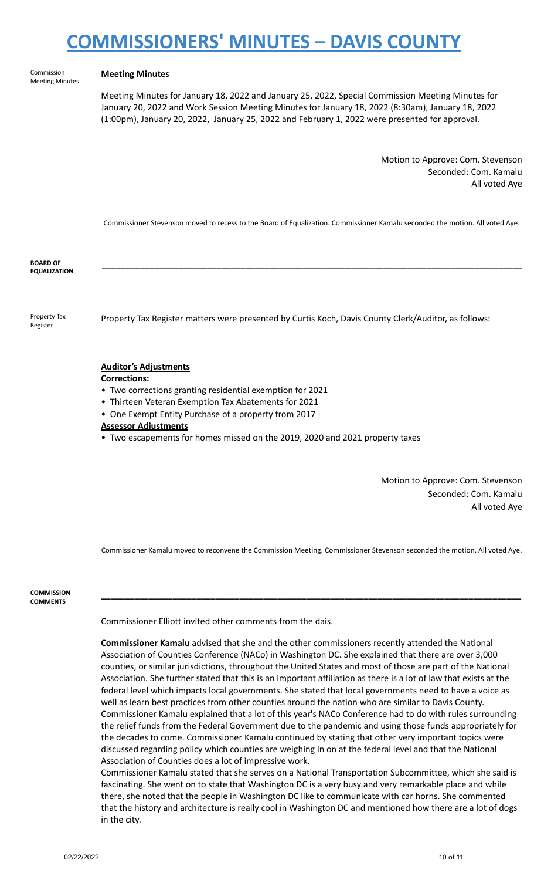Commission Meeting Minutes

### **Meeting Minutes**

Meeting Minutes for January 18, 2022 and January 25, 2022, Special Commission Meeting Minutes for January 20, 2022 and Work Session Meeting Minutes for January 18, 2022 (8:30am), January 18, 2022 (1:00pm), January 20, 2022, January 25, 2022 and February 1, 2022 were presented for approval.

> Motion to Approve: Com. Stevenson Seconded: Com. Kamalu All voted Aye

Commissioner Stevenson moved to recess to the Board of Equalization. Commissioner Kamalu seconded the motion. All voted Aye.

**\_\_\_\_\_\_\_\_\_\_\_\_\_\_\_\_\_\_\_\_\_\_\_\_\_\_\_\_\_\_\_\_\_\_\_\_\_\_\_\_\_\_\_\_\_\_\_\_\_\_\_\_\_\_\_\_\_\_\_\_\_\_\_\_\_\_\_\_\_\_\_\_\_\_\_\_\_\_\_\_\_\_\_\_\_\_\_\_**

**BOARD OF EQUALIZATION**

Property Tax Register

Property Tax Register matters were presented by Curtis Koch, Davis County Clerk/Auditor, as follows:

### **Auditor's Adjustments**

- **Corrections:**
- Two corrections granting residential exemption for 2021
- Thirteen Veteran Exemption Tax Abatements for 2021
- One Exempt Entity Purchase of a property from 2017
- **Assessor Adjustments**
- Two escapements for homes missed on the 2019, 2020 and 2021 property taxes

Motion to Approve: Com. Stevenson Seconded: Com. Kamalu All voted Aye

Commissioner Kamalu moved to reconvene the Commission Meeting. Commissioner Stevenson seconded the motion. All voted Aye.

**\_\_\_\_\_\_\_\_\_\_\_\_\_\_\_\_\_\_\_\_\_\_\_\_\_\_\_\_\_\_\_\_\_\_\_\_\_\_\_\_\_\_\_\_\_\_\_\_\_\_\_\_\_\_\_\_\_\_\_\_\_\_\_\_\_\_\_\_\_\_\_\_\_\_\_\_\_\_\_\_\_\_\_\_\_\_\_\_**

**COMMISSION COMMENTS**

Commissioner Elliott invited other comments from the dais.

**Commissioner Kamalu** advised that she and the other commissioners recently attended the National Association of Counties Conference (NACo) in Washington DC. She explained that there are over 3,000 counties, or similar jurisdictions, throughout the United States and most of those are part of the National Association. She further stated that this is an important affiliation as there is a lot of law that exists at the federal level which impacts local governments. She stated that local governments need to have a voice as well as learn best practices from other counties around the nation who are similar to Davis County. Commissioner Kamalu explained that a lot of this year's NACo Conference had to do with rules surrounding the relief funds from the Federal Government due to the pandemic and using those funds appropriately for the decades to come. Commissioner Kamalu continued by stating that other very important topics were discussed regarding policy which counties are weighing in on at the federal level and that the National Association of Counties does a lot of impressive work.

Commissioner Kamalu stated that she serves on a National Transportation Subcommittee, which she said is fascinating. She went on to state that Washington DC is a very busy and very remarkable place and while there, she noted that the people in Washington DC like to communicate with car horns. She commented that the history and architecture is really cool in Washington DC and mentioned how there are a lot of dogs in the city.